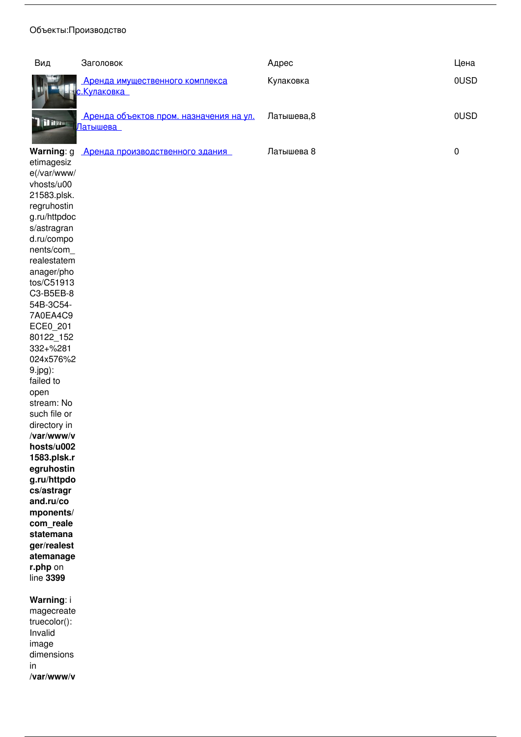### *Объекты:Производство*

| Вид                          | Заголовок                                              | Адрес      | Цена |
|------------------------------|--------------------------------------------------------|------------|------|
|                              | Аренда имущественного комплекса<br><u>с.Кулаковка </u> | Кулаковка  | 0USD |
| $\mathbf{u}$ in $\mathbf{f}$ | Аренда объектов пром. назначения на ул.<br>Латышева    | Латышева,8 | 0USD |
| <b>Warning: g</b>            | Аренда производственного здания                        | Латышева 8 |      |

*etimagesiz e(/var/www/ vhosts/u00 21583.plsk. regruhostin g.ru/httpdoc s/astragran d.ru/compo nents/com\_ realestatem anager/pho tos/C51913 C3-B5EB-8 54B-3C54- 7A0EA4C9 ECE0\_201 80122\_152 332+%281 024x576%2 9.jpg): failed to open stream: No such file or directory in*  **/var/www/v hosts/u002 1583.plsk.r egruhostin g.ru/httpdo cs/astragr and.ru/co mponents/ com\_reale statemana ger/realest atemanage r.php** *on line* **3399**

## **Warning***: i*

*magecreate truecolor(): Invalid image dimensions in* **/var/www/v**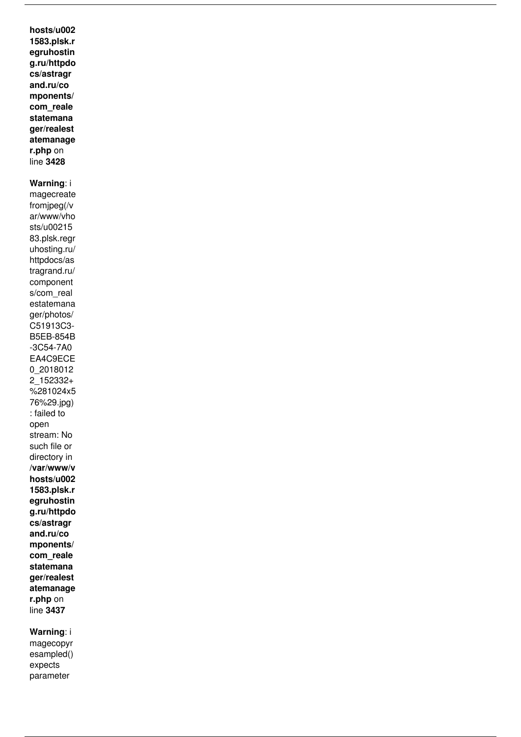**hosts/u002 1583.plsk.r egruhostin g.ru/httpdo cs/astragr and.ru/co mponents/ com\_reale statemana ger/realest atemanage r.php** *on line* **3428**

# **Warning***: i*

*magecreate fromjpeg(/v ar/www/vho sts/u00215 83.plsk.regr uhosting.ru/ httpdocs/as tragrand.ru/ component s/com\_real estatemana ger/photos/ C51913C3- B5EB-854B -3C54-7A0 EA4C9ECE 0\_2018012 2\_152332+ %281024x5 76%29.jpg) : failed to open stream: No such file or directory in*  **/var/www/v hosts/u002 1583.plsk.r egruhostin g.ru/httpdo cs/astragr and.ru/co mponents/ com\_reale statemana ger/realest atemanage r.php** *on line* **3437**

# **Warning***: i*

*magecopyr esampled() expects parameter*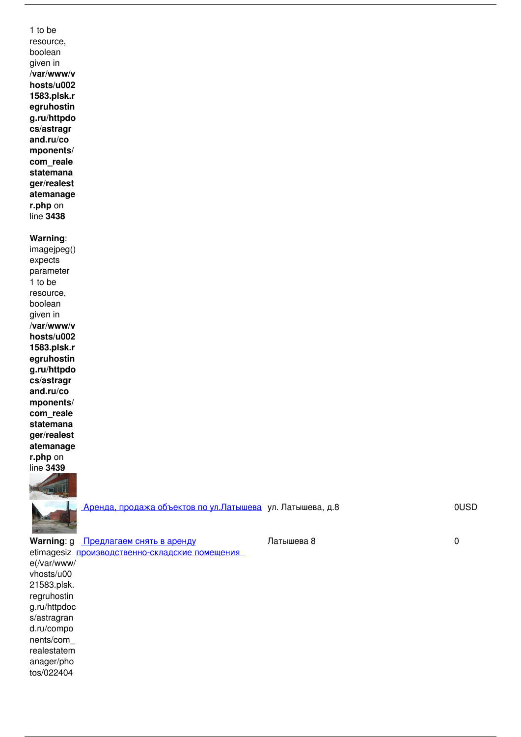*1 to be resource, boolean given in*  **/var/www/v hosts/u002 1583.plsk.r egruhostin g.ru/httpdo cs/astragr and.ru/co mponents/ com\_reale statemana ger/realest atemanage r.php** *on line* **3438**

### **Warning***:*

*imagejpeg() expects parameter 1 to be resource, boolean given in*  **/var/www/v hosts/u002 1583.plsk.r egruhostin g.ru/httpdo cs/astragr and.ru/co mponents/ com\_reale statemana ger/realest atemanage r.php** *on line* **3439**



 *[Аренда, продажа объектов по ул.Латышева](http://www.astragrand.ru/index.php/component/realestatemanager/368/view/24/arenda-prodazha-ob-ektov-po-ul-latysheva?catid=5&Itemid=368) ул. Латышева, д.8 0USD 1193*

**Warning***: g [Предлагаем снять в аренду](http://www.astragrand.ru/index.php/component/realestatemanager/368/view/97/predlagaem-snyat-v-arendu-proizvodstvenno-skladskie-pomeshcheniya?catid=5&Itemid=368)*

 *Латышева 8 0 713*

*etimagesiz [производственно-складские помещения](http://www.astragrand.ru/index.php/component/realestatemanager/368/view/97/predlagaem-snyat-v-arendu-proizvodstvenno-skladskie-pomeshcheniya?catid=5&Itemid=368)  e(/var/www/ vhosts/u00 21583.plsk. regruhostin g.ru/httpdoc s/astragran d.ru/compo nents/com\_ realestatem anager/pho tos/022404*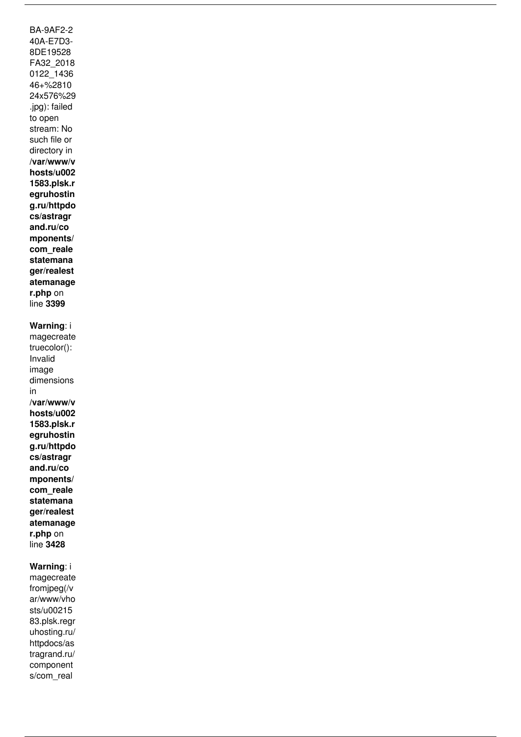*BA-9AF2-2 40A-E7D3- 8DE19528 FA32\_2018 0122\_1436 46+%2810 24x576%29 .jpg): failed to open stream: No such file or directory in*  **/var/www/v hosts/u002 1583.plsk.r egruhostin g.ru/httpdo cs/astragr and.ru/co mponents/ com\_reale statemana ger/realest atemanage r.php** *on line* **3399 Warning***: i magecreate truecolor(): Invalid image dimensions in* **/var/www/v hosts/u002**

**1583.plsk.r egruhostin g.ru/httpdo cs/astragr and.ru/co mponents/ com\_reale statemana ger/realest atemanage r.php** *on line* **3428**

## **Warning***: i*

*magecreate fromjpeg(/v ar/www/vho sts/u00215 83.plsk.regr uhosting.ru/ httpdocs/as tragrand.ru/ component s/com\_real*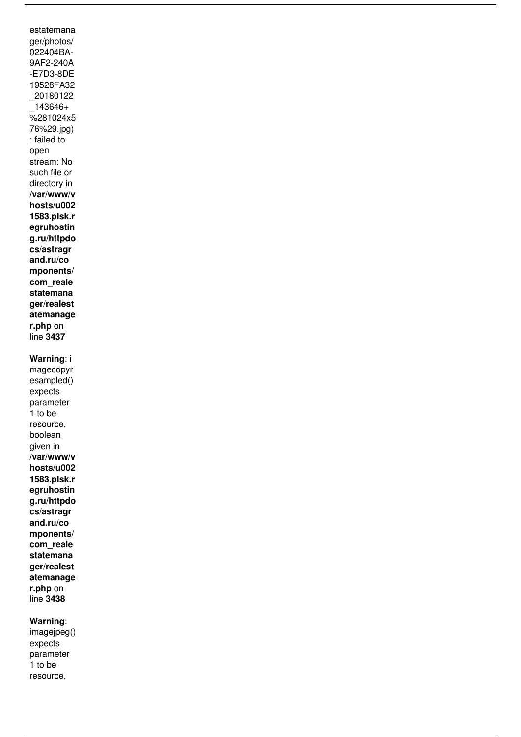*estatemana ger/photos/ 022404BA-9AF2-240A -E7D3-8DE 19528FA32 \_20180122 \_143646+ %281024x5 76%29.jpg) : failed to open stream: No such file or directory in*  **/var/www/v hosts/u002 1583.plsk.r egruhostin g.ru/httpdo cs/astragr and.ru/co mponents/ com\_reale statemana ger/realest atemanage r.php** *on line* **3437 Warning***: i magecopyr esampled() expects*

*parameter 1 to be resource, boolean given in*  **/var/www/v hosts/u002 1583.plsk.r egruhostin g.ru/httpdo cs/astragr and.ru/co mponents/ com\_reale statemana ger/realest atemanage r.php** *on line* **3438**

## **Warning***:*

*imagejpeg() expects parameter 1 to be resource,*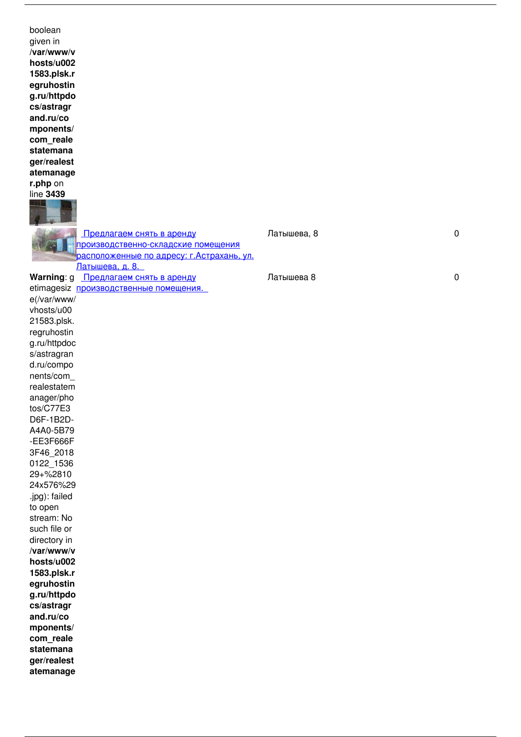| boolean                                   |             |           |
|-------------------------------------------|-------------|-----------|
| given in                                  |             |           |
| /var/www/v                                |             |           |
| hosts/u002                                |             |           |
| 1583.plsk.r                               |             |           |
|                                           |             |           |
| egruhostin                                |             |           |
| g.ru/httpdo                               |             |           |
| cs/astragr                                |             |           |
| and.ru/co                                 |             |           |
| mponents/                                 |             |           |
| com_reale                                 |             |           |
| statemana                                 |             |           |
| ger/realest                               |             |           |
| atemanage                                 |             |           |
| r.php on                                  |             |           |
| line 3439                                 |             |           |
|                                           |             |           |
|                                           |             |           |
|                                           |             |           |
| Предлагаем снять в аренду                 | Латышева, 8 | $\pmb{0}$ |
|                                           |             |           |
| производственно-складские помещения       |             |           |
| расположенные по адресу: г.Астрахань, ул. |             |           |
| Латышева, д. 8.                           |             |           |
| Warning: g<br>Предлагаем снять в аренду   | Латышева 8  | $\pmb{0}$ |
| etimagesiz производственные помещения.    |             |           |
| e(/var/www/                               |             |           |
| vhosts/u00                                |             |           |
| 21583.plsk.                               |             |           |
| regruhostin                               |             |           |
| g.ru/httpdoc                              |             |           |
| s/astragran                               |             |           |
|                                           |             |           |
| d.ru/compo                                |             |           |
| nents/com_                                |             |           |
| realestatem                               |             |           |
| anager/pho                                |             |           |
| tos/C77E3                                 |             |           |
| D6F-1B2D-                                 |             |           |
| A4A0-5B79                                 |             |           |
| -EE3F666F                                 |             |           |
| 3F46_2018                                 |             |           |
| 0122_1536                                 |             |           |
| 29+%2810                                  |             |           |
| 24x576%29                                 |             |           |
| .jpg): failed                             |             |           |
| to open                                   |             |           |
| stream: No                                |             |           |
|                                           |             |           |
| such file or                              |             |           |
| directory in                              |             |           |
| /var/www/v                                |             |           |
| hosts/u002                                |             |           |
| 1583.plsk.r                               |             |           |
| egruhostin                                |             |           |
| g.ru/httpdo                               |             |           |
| cs/astragr                                |             |           |
| and.ru/co                                 |             |           |
| mponents/                                 |             |           |
| com_reale                                 |             |           |
| statemana                                 |             |           |
| ger/realest                               |             |           |
| atemanage                                 |             |           |
|                                           |             |           |
|                                           |             |           |
|                                           |             |           |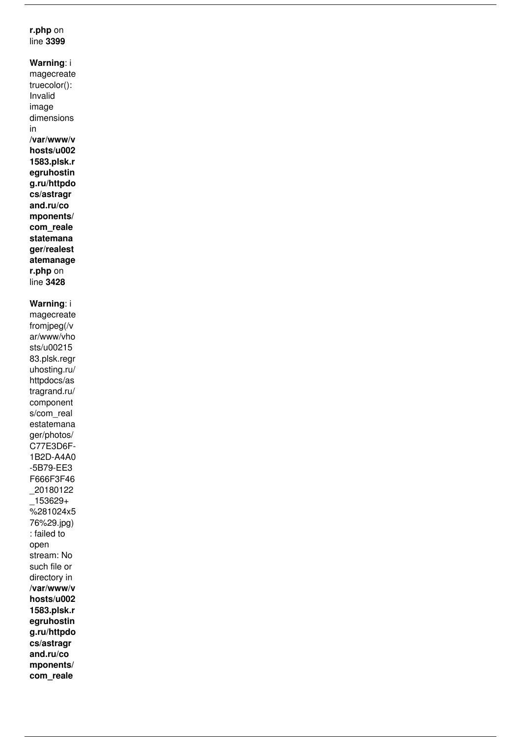### **r.php** *on line* **3399**

**Warning***: i magecreate truecolor(): Invalid image dimensions in* **/var/www/v hosts/u002 1583.plsk.r egruhostin g.ru/httpdo cs/astragr and.ru/co mponents/ com\_reale statemana ger/realest atemanage r.php** *on line* **3428**

# **Warning***: i*

*magecreate fromjpeg(/v ar/www/vho sts/u00215 83.plsk.regr uhosting.ru/ httpdocs/as tragrand.ru/ component s/com\_real estatemana ger/photos/ C77E3D6F-1B2D-A4A0 -5B79-EE3 F666F3F46 \_20180122 \_153629+ %281024x5 76%29.jpg) : failed to open stream: No such file or directory in*  **/var/www/v hosts/u002 1583.plsk.r egruhostin g.ru/httpdo cs/astragr and.ru/co mponents/ com\_reale**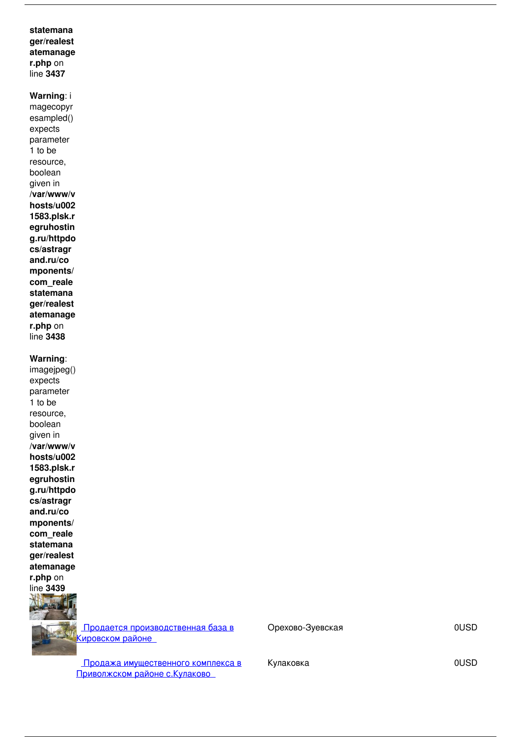### **statemana ger/realest atemanage r.php** *on line* **3437**

# **Warning***: i*

*magecopyr esampled() expects parameter 1 to be resource, boolean given in*  **/var/www/v hosts/u002 1583.plsk.r egruhostin g.ru/httpdo cs/astragr and.ru/co mponents/ com\_reale statemana ger/realest atemanage r.php** *on line* **3438**

#### **Warning***:*

*imagejpeg() expects parameter 1 to be resource, boolean given in*  **/var/www/v hosts/u002 1583.plsk.r egruhostin g.ru/httpdo cs/astragr and.ru/co mponents/ com\_reale statemana ger/realest atemanage r.php** *on line* **3439**

 *[Продается производственная база в](http://www.astragrand.ru/index.php/component/realestatemanager/368/view/30/prodaetsya-proizvodstvennaya-baza-v-kirovskom-rajone?catid=5&Itemid=368) [Кировском районе](http://www.astragrand.ru/index.php/component/realestatemanager/368/view/30/prodaetsya-proizvodstvennaya-baza-v-kirovskom-rajone?catid=5&Itemid=368)* 

 *Орехово-Зуевская 0USD 1091*

 *[Продажа имущественного комплекса в](http://www.astragrand.ru/index.php/component/realestatemanager/368/view/27/prodazha-imushchestvennogo-kompleksa-v-privolzhskom-rajone-s-kulakovo?catid=5&Itemid=368) [Приволжском районе с.Кулаково](http://www.astragrand.ru/index.php/component/realestatemanager/368/view/27/prodazha-imushchestvennogo-kompleksa-v-privolzhskom-rajone-s-kulakovo?catid=5&Itemid=368)* 

 $K$ улаковка **1278 1278 1278 1278 1278 1278 1278 1278 1278 1278**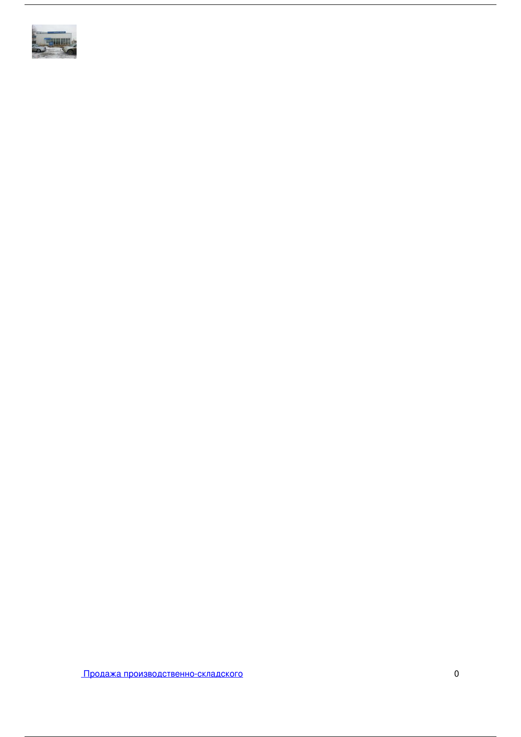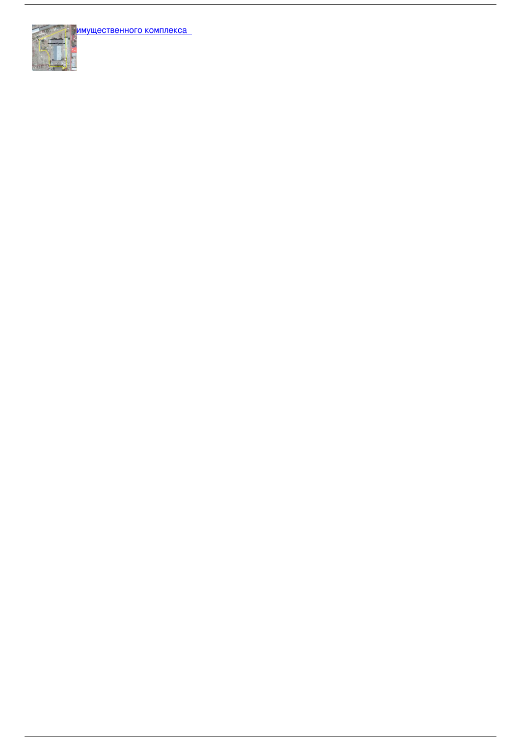

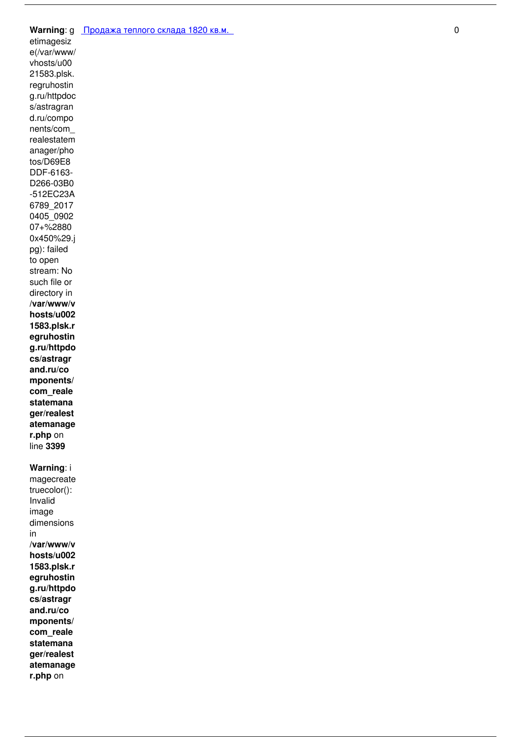#### **Warning***: g [Продажа теплого склада 1820 кв.м.](http://www.astragrand.ru/index.php/component/realestatemanager/368/view/88/prodazha-teplogo-sklada-1820-kv-m?catid=5&Itemid=368)  0 813*

*etimagesiz e(/var/www/ vhosts/u00 21583.plsk. regruhostin g.ru/httpdoc s/astragran d.ru/compo nents/com\_ realestatem anager/pho tos/D69E8 DDF-6163- D266-03B0 -512EC23A 6789\_2017 0405\_0902 07+%2880 0x450%29.j pg): failed to open stream: No such file or directory in*  **/var/www/v hosts/u002 1583.plsk.r egruhostin g.ru/httpdo cs/astragr and.ru/co mponents/ com\_reale statemana ger/realest atemanage r.php** *on line* **3399**

#### **Warning***: i*

*magecreate truecolor(): Invalid image dimensions in* **/var/www/v hosts/u002 1583.plsk.r egruhostin g.ru/httpdo cs/astragr and.ru/co mponents/ com\_reale statemana ger/realest atemanage r.php** *on*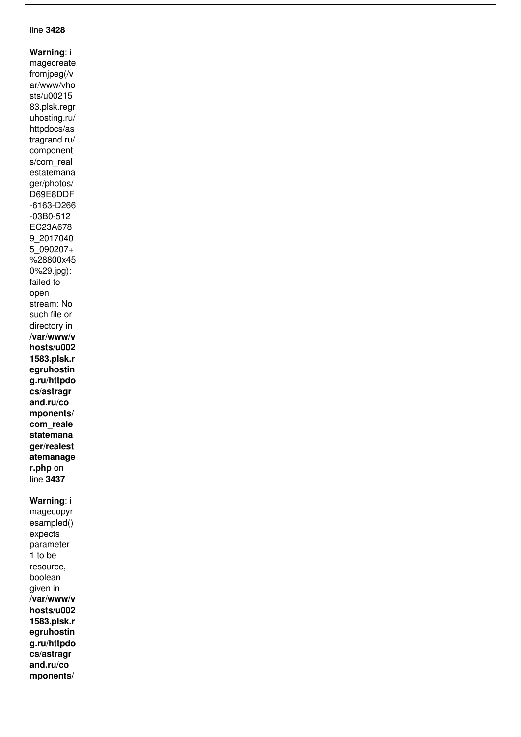### *line* **3428**

**Warning***: i magecreate fromjpeg(/v ar/www/vho sts/u00215 83.plsk.regr uhosting.ru/ httpdocs/as tragrand.ru/ component s/com\_real estatemana ger/photos/ D69E8DDF -6163-D266 -03B0-512 EC23A678 9\_2017040 5\_090207+ %28800x45 0%29.jpg): failed to open stream: No such file or directory in*  **/var/www/v hosts/u002 1583.plsk.r egruhostin g.ru/httpdo cs/astragr and.ru/co mponents/ com\_reale statemana ger/realest atemanage r.php** *on line* **3437**

#### **Warning***: i*

*magecopyr esampled() expects parameter 1 to be resource, boolean given in*  **/var/www/v hosts/u002 1583.plsk.r egruhostin g.ru/httpdo cs/astragr and.ru/co mponents/**